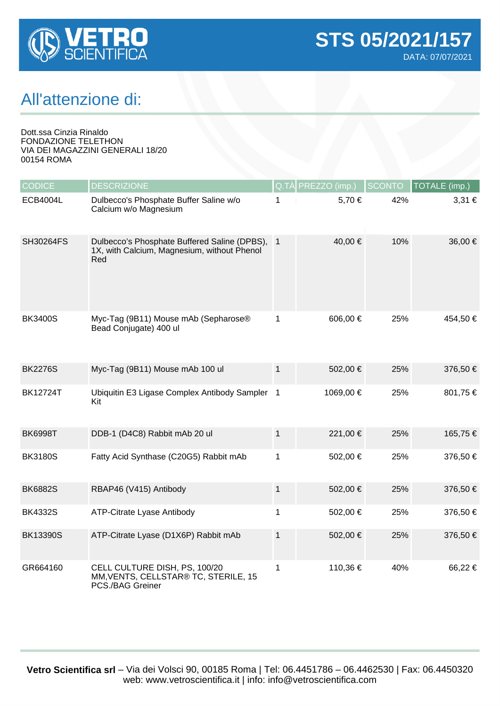

## All'attenzione di:

Dott.ssa Cinzia Rinaldo FONDAZIONE TELETHON VIA DEI MAGAZZINI GENERALI 18/20 00154 ROMA

| <b>CODICE</b>    | <b>DESCRIZIONE</b>                                                                                   |              | Q.TÀ PREZZO (imp.) | <b>SCONTO</b> | TOTALE (imp.) |
|------------------|------------------------------------------------------------------------------------------------------|--------------|--------------------|---------------|---------------|
| <b>ECB4004L</b>  | Dulbecco's Phosphate Buffer Saline w/o<br>Calcium w/o Magnesium                                      | 1            | 5,70 €             | 42%           | 3,31 €        |
| <b>SH30264FS</b> | Dulbecco's Phosphate Buffered Saline (DPBS), 1<br>1X, with Calcium, Magnesium, without Phenol<br>Red |              | 40,00 €            | 10%           | 36,00 €       |
| <b>BK3400S</b>   | Myc-Tag (9B11) Mouse mAb (Sepharose®<br>Bead Conjugate) 400 ul                                       | 1            | 606,00 €           | 25%           | 454,50 €      |
| <b>BK2276S</b>   | Myc-Tag (9B11) Mouse mAb 100 ul                                                                      | $\mathbf{1}$ | 502,00 €           | 25%           | 376,50 €      |
| <b>BK12724T</b>  | Ubiquitin E3 Ligase Complex Antibody Sampler 1<br>Kit                                                |              | 1069,00 €          | 25%           | 801,75 €      |
| <b>BK6998T</b>   | DDB-1 (D4C8) Rabbit mAb 20 ul                                                                        | $\mathbf 1$  | 221,00 €           | 25%           | 165,75 €      |
| <b>BK3180S</b>   | Fatty Acid Synthase (C20G5) Rabbit mAb                                                               | 1            | 502,00 €           | 25%           | 376,50 €      |
| <b>BK6882S</b>   | RBAP46 (V415) Antibody                                                                               | 1            | 502,00 €           | 25%           | 376,50 €      |
| <b>BK4332S</b>   | ATP-Citrate Lyase Antibody                                                                           | 1            | 502,00 €           | 25%           | 376,50 €      |
| <b>BK13390S</b>  | ATP-Citrate Lyase (D1X6P) Rabbit mAb                                                                 | $\mathbf{1}$ | 502,00 €           | 25%           | 376,50 €      |
| GR664160         | CELL CULTURE DISH, PS, 100/20<br>MM, VENTS, CELLSTAR® TC, STERILE, 15<br>PCS./BAG Greiner            | 1            | 110,36 €           | 40%           | 66,22€        |

**Vetro Scientifica srl** – Via dei Volsci 90, 00185 Roma | Tel: 06.4451786 – 06.4462530 | Fax: 06.4450320 web: www.vetroscientifica.it | info: info@vetroscientifica.com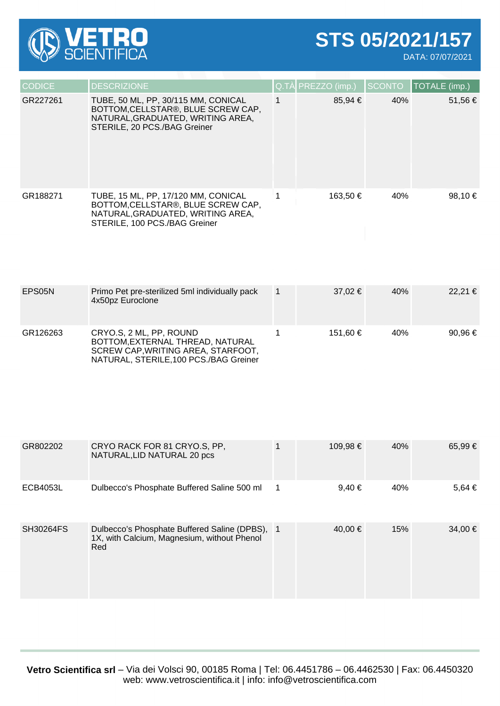

**STS 05/2021/157**

DATA: 07/07/2021

| <b>CODICE</b> | <b>DESCRIZIONE</b>                                                                                                                              | Q.TÀ PREZZO (imp.) SCONTO |     | TOTALE (imp.) |
|---------------|-------------------------------------------------------------------------------------------------------------------------------------------------|---------------------------|-----|---------------|
| GR227261      | TUBE, 50 ML, PP, 30/115 MM, CONICAL<br>BOTTOM, CELLSTAR®, BLUE SCREW CAP,<br>NATURAL, GRADUATED, WRITING AREA,<br>STERILE, 20 PCS./BAG Greiner  | $85.94 \in$               | 40% | 51,56 €       |
| GR188271      | TUBE, 15 ML, PP, 17/120 MM, CONICAL<br>BOTTOM, CELLSTAR®, BLUE SCREW CAP,<br>NATURAL, GRADUATED, WRITING AREA,<br>STERILE, 100 PCS./BAG Greiner | 163.50 €                  | 40% | 98,10 $\in$   |

| EPS05N   | Primo Pet pre-sterilized 5ml individually pack<br>4x50pz Euroclone                                                                          | $37.02 \in$ | 40% | 22.21 € |
|----------|---------------------------------------------------------------------------------------------------------------------------------------------|-------------|-----|---------|
| GR126263 | CRYO.S, 2 ML, PP, ROUND<br>BOTTOM, EXTERNAL THREAD, NATURAL<br>SCREW CAP, WRITING AREA, STARFOOT,<br>NATURAL, STERILE, 100 PCS./BAG Greiner | 151.60 €    | 40% | 90.96 € |

| GR802202         | CRYO RACK FOR 81 CRYO.S, PP,<br>NATURAL, LID NATURAL 20 pcs                                          |                | 109,98 €   | 40% | 65,99 €    |
|------------------|------------------------------------------------------------------------------------------------------|----------------|------------|-----|------------|
| <b>ECB4053L</b>  | Dulbecco's Phosphate Buffered Saline 500 ml                                                          | $\overline{1}$ | $9,40 \in$ | 40% | $5,64 \in$ |
| <b>SH30264FS</b> | Dulbecco's Phosphate Buffered Saline (DPBS), 1<br>1X, with Calcium, Magnesium, without Phenol<br>Red |                | 40.00 €    | 15% | 34,00 €    |